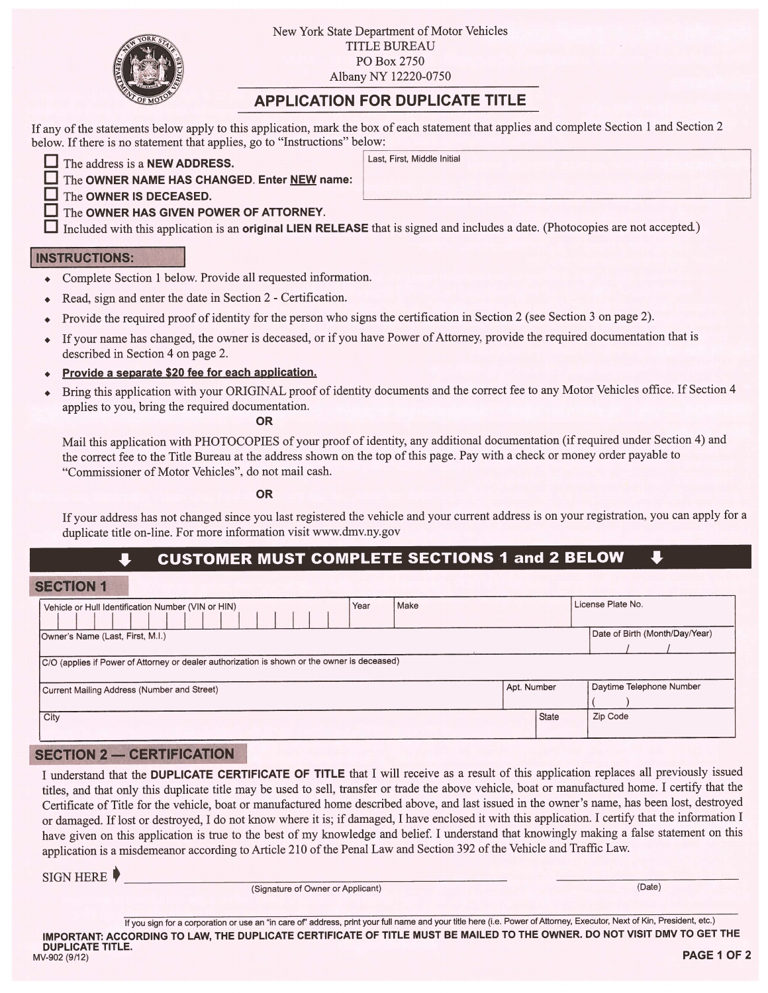

New York State Department of Motor Vehicles TITLE BUREAU P0 Box 2750 Albany NY 12220-0750

# APPLICATION FOR DUPLICATE TITLE

If any of the statements below apply to this application, mark the box of each statement that applies and complete Section 1 and Section 2 below. If there is no statement that applies, go to "Instructions" below:

| $\Box$ The address is a <b>NEW ADDRESS</b> . |
|----------------------------------------------|
| $\Box$ The OWNER NAME HAS CHANG              |
| $\Box$ The OWNER IS DECEASED.                |
| <b>The community of the community</b>        |

#### Last, First, Middle Initial

The OWNER NAME HAS CHANGED. Enter NEW name: The **OWNER IS DECEASED.** 

## $\Box$  The OWNER HAS GIVEN POWER OF ATTORNEY.

 $\Box$  Included with this application is an original LIEN RELEASE that is signed and includes a date. (Photocopies are not accepted.)

### **INSTRUCTIONS:**

- . Complete Section <sup>1</sup> below. Provide all requested information.
- . Read, sign and enter the date in Section <sup>2</sup> -Certification.
- , Provide the required proof of identity for the person who signs the certification in Section <sup>2</sup> (see Section <sup>3</sup> on page 2).
- If your name has changed, the owner is deceased, or if you have Power of Attorney, provide the required documentation that is described in Section 4 on page 2.
- Provide a separate \$20 fee for each application.
- . Bring this application with your ORIGINAL proof of identity documents and the correct fee to any Motor Vehicles office. If Section <sup>4</sup> applies to you, bring the required documentation.

OR

Mail this application with PHOTOCOPIES of your proof of identity, any additional documentation (ifrequired under Section 4) and the correct fee to the Title Bureau at the address shown on the top ofthis page. Pay with a check or money order payable to "Commissioner of Motor Vehicles", do not mail cash.

OR

If your address has not changed since you last registered the vehicle and your current address is on your registration, you can apply for a duplicate title on-line. For more information visit www.dmv.ny.gov

## CUSTOMER MUST COMPLETE SECTIONS 1 and 2 BELOW

### SECTION 1

| Vehicle or Hull Identification Number (VIN or HIN)                                           | Year                           | Make        |       | License Plate No.        |  |  |
|----------------------------------------------------------------------------------------------|--------------------------------|-------------|-------|--------------------------|--|--|
| Owner's Name (Last, First, M.I.)                                                             | Date of Birth (Month/Day/Year) |             |       |                          |  |  |
| C/O (applies if Power of Attorney or dealer authorization is shown or the owner is deceased) |                                |             |       |                          |  |  |
| Current Mailing Address (Number and Street)                                                  |                                | Apt. Number |       | Daytime Telephone Number |  |  |
| City                                                                                         |                                |             | State | Zip Code                 |  |  |

### SECTION 2 — CERTIFICATION

<sup>I</sup> understand that the DUPLICATE CERTIFICATE OF TITLE that <sup>I</sup> will receive as a result of this application replaces all previously issued titles, and that only this duplicate title may be used to sell, transfer or trade the above vehicle, boat or manufactured home. <sup>I</sup> certify that the Certificate of Title for the vehicle, boat or manufactured home described above, and last issued in the owner's name, has been lost, destroyed or damaged. Iflost or destroyed, <sup>I</sup> do not know where it is; if damaged, <sup>I</sup> have enclosed it with this application. <sup>I</sup> certify that the information I have given on this application is true to the best of my knowledge and belief. <sup>I</sup> understand that knowingly making a false statement on this application is a misdemeanor according to Article 210 of the Penal Law and Section 392 of the Vehicle and Traffic Law.

SIGN HERE

(Signature of Owner or Applicant) (Date)

If you sign for a corporation or use an "in care of" address, print your full name and your title here (i.e. Power of Attorney, Executor, Next of Kin, President, etc.) IMPORTANT: ACCORDING TO LAW, THE DUPLICATE CERTIFICATE OF TITLE MUST BE MAILED TO THE OWNER. DO NOT VISIT DMV TO GET THE **DUPLICATE TITLE.**<br>MV-902 (9/12)  $\frac{1}{2}$  PAGE 1 OF 2